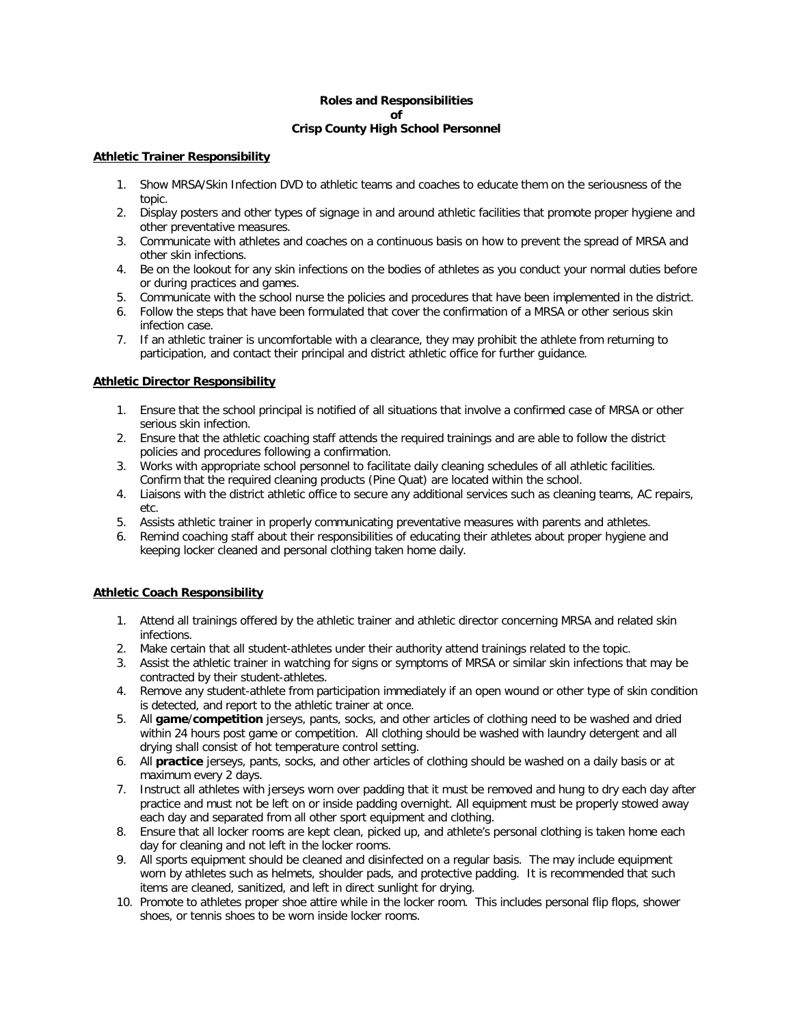### **Roles and Responsibilities of Crisp County High School Personnel**

### **Athletic Trainer Responsibility**

- 1. Show MRSA/Skin Infection DVD to athletic teams and coaches to educate them on the seriousness of the topic.
- 2. Display posters and other types of signage in and around athletic facilities that promote proper hygiene and other preventative measures.
- 3. Communicate with athletes and coaches on a continuous basis on how to prevent the spread of MRSA and other skin infections.
- 4. Be on the lookout for any skin infections on the bodies of athletes as you conduct your normal duties before or during practices and games.
- 5. Communicate with the school nurse the policies and procedures that have been implemented in the district.
- 6. Follow the steps that have been formulated that cover the confirmation of a MRSA or other serious skin infection case.
- 7. If an athletic trainer is uncomfortable with a clearance, they may prohibit the athlete from returning to participation, and contact their principal and district athletic office for further guidance.

### **Athletic Director Responsibility**

- 1. Ensure that the school principal is notified of all situations that involve a confirmed case of MRSA or other serious skin infection.
- 2. Ensure that the athletic coaching staff attends the required trainings and are able to follow the district policies and procedures following a confirmation.
- 3. Works with appropriate school personnel to facilitate daily cleaning schedules of all athletic facilities. Confirm that the required cleaning products (Pine Quat) are located within the school.
- 4. Liaisons with the district athletic office to secure any additional services such as cleaning teams, AC repairs, etc.
- 5. Assists athletic trainer in properly communicating preventative measures with parents and athletes.
- 6. Remind coaching staff about their responsibilities of educating their athletes about proper hygiene and keeping locker cleaned and personal clothing taken home daily.

## **Athletic Coach Responsibility**

- 1. Attend all trainings offered by the athletic trainer and athletic director concerning MRSA and related skin infections.
- 2. Make certain that all student-athletes under their authority attend trainings related to the topic.
- 3. Assist the athletic trainer in watching for signs or symptoms of MRSA or similar skin infections that may be contracted by their student-athletes.
- 4. Remove any student-athlete from participation immediately if an open wound or other type of skin condition is detected, and report to the athletic trainer at once.
- 5. All **game**/**competition** jerseys, pants, socks, and other articles of clothing need to be washed and dried within 24 hours post game or competition. All clothing should be washed with laundry detergent and all drying shall consist of hot temperature control setting.
- 6. All **practice** jerseys, pants, socks, and other articles of clothing should be washed on a daily basis or at maximum every 2 days.
- 7. Instruct all athletes with jerseys worn over padding that it must be removed and hung to dry each day after practice and must not be left on or inside padding overnight. All equipment must be properly stowed away each day and separated from all other sport equipment and clothing.
- 8. Ensure that all locker rooms are kept clean, picked up, and athlete's personal clothing is taken home each day for cleaning and not left in the locker rooms.
- 9. All sports equipment should be cleaned and disinfected on a regular basis. The may include equipment worn by athletes such as helmets, shoulder pads, and protective padding. It is recommended that such items are cleaned, sanitized, and left in direct sunlight for drying.
- 10. Promote to athletes proper shoe attire while in the locker room. This includes personal flip flops, shower shoes, or tennis shoes to be worn inside locker rooms.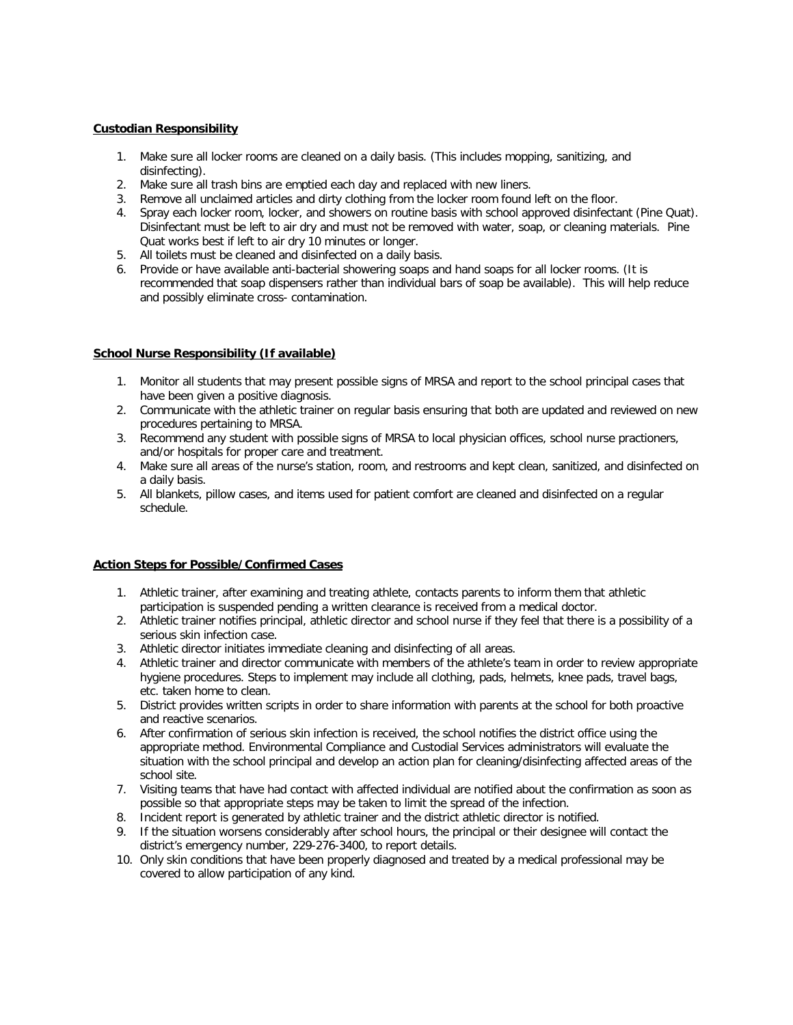## **Custodian Responsibility**

- 1. Make sure all locker rooms are cleaned on a daily basis. (This includes mopping, sanitizing, and disinfecting).
- 2. Make sure all trash bins are emptied each day and replaced with new liners.
- 3. Remove all unclaimed articles and dirty clothing from the locker room found left on the floor.
- 4. Spray each locker room, locker, and showers on routine basis with school approved disinfectant (Pine Quat). Disinfectant must be left to air dry and must not be removed with water, soap, or cleaning materials. Pine Quat works best if left to air dry 10 minutes or longer.
- 5. All toilets must be cleaned and disinfected on a daily basis.
- 6. Provide or have available anti-bacterial showering soaps and hand soaps for all locker rooms. (It is recommended that soap dispensers rather than individual bars of soap be available). This will help reduce and possibly eliminate cross- contamination.

#### **School Nurse Responsibility (If available)**

- 1. Monitor all students that may present possible signs of MRSA and report to the school principal cases that have been given a positive diagnosis.
- 2. Communicate with the athletic trainer on regular basis ensuring that both are updated and reviewed on new procedures pertaining to MRSA.
- 3. Recommend any student with possible signs of MRSA to local physician offices, school nurse practioners, and/or hospitals for proper care and treatment.
- 4. Make sure all areas of the nurse's station, room, and restrooms and kept clean, sanitized, and disinfected on a daily basis.
- 5. All blankets, pillow cases, and items used for patient comfort are cleaned and disinfected on a regular schedule.

## **Action Steps for Possible/Confirmed Cases**

- 1. Athletic trainer, after examining and treating athlete, contacts parents to inform them that athletic participation is suspended pending a written clearance is received from a medical doctor.
- 2. Athletic trainer notifies principal, athletic director and school nurse if they feel that there is a possibility of a serious skin infection case.
- 3. Athletic director initiates immediate cleaning and disinfecting of all areas.
- 4. Athletic trainer and director communicate with members of the athlete's team in order to review appropriate hygiene procedures. Steps to implement may include all clothing, pads, helmets, knee pads, travel bags, etc. taken home to clean.
- 5. District provides written scripts in order to share information with parents at the school for both proactive and reactive scenarios.
- 6. After confirmation of serious skin infection is received, the school notifies the district office using the appropriate method. Environmental Compliance and Custodial Services administrators will evaluate the situation with the school principal and develop an action plan for cleaning/disinfecting affected areas of the school site.
- 7. Visiting teams that have had contact with affected individual are notified about the confirmation as soon as possible so that appropriate steps may be taken to limit the spread of the infection.
- 8. Incident report is generated by athletic trainer and the district athletic director is notified.
- 9. If the situation worsens considerably after school hours, the principal or their designee will contact the district's emergency number, 229-276-3400, to report details.
- 10. Only skin conditions that have been properly diagnosed and treated by a medical professional may be covered to allow participation of any kind.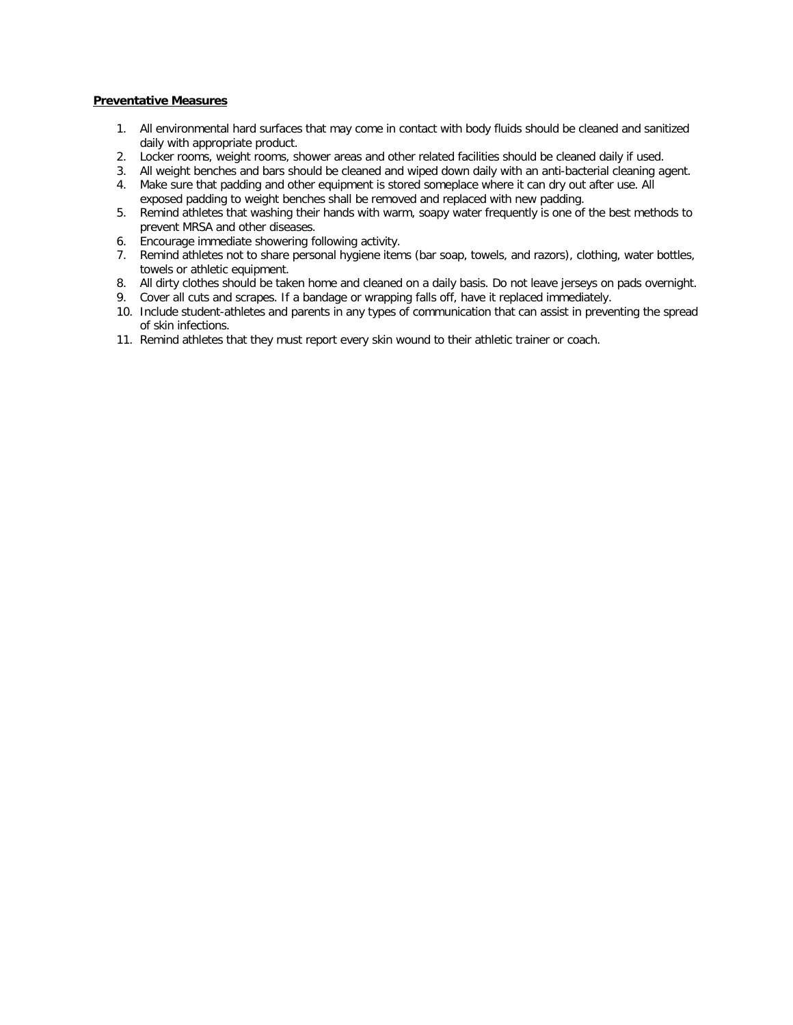### **Preventative Measures**

- 1. All environmental hard surfaces that may come in contact with body fluids should be cleaned and sanitized daily with appropriate product.
- 2. Locker rooms, weight rooms, shower areas and other related facilities should be cleaned daily if used.
- 3. All weight benches and bars should be cleaned and wiped down daily with an anti-bacterial cleaning agent.
- 4. Make sure that padding and other equipment is stored someplace where it can dry out after use. All exposed padding to weight benches shall be removed and replaced with new padding.
- 5. Remind athletes that washing their hands with warm, soapy water frequently is one of the best methods to prevent MRSA and other diseases.
- 6. Encourage immediate showering following activity.
- 7. Remind athletes not to share personal hygiene items (bar soap, towels, and razors), clothing, water bottles, towels or athletic equipment.
- 8. All dirty clothes should be taken home and cleaned on a daily basis. Do not leave jerseys on pads overnight.
- 9. Cover all cuts and scrapes. If a bandage or wrapping falls off, have it replaced immediately.
- 10. Include student-athletes and parents in any types of communication that can assist in preventing the spread of skin infections.
- 11. Remind athletes that they must report every skin wound to their athletic trainer or coach.